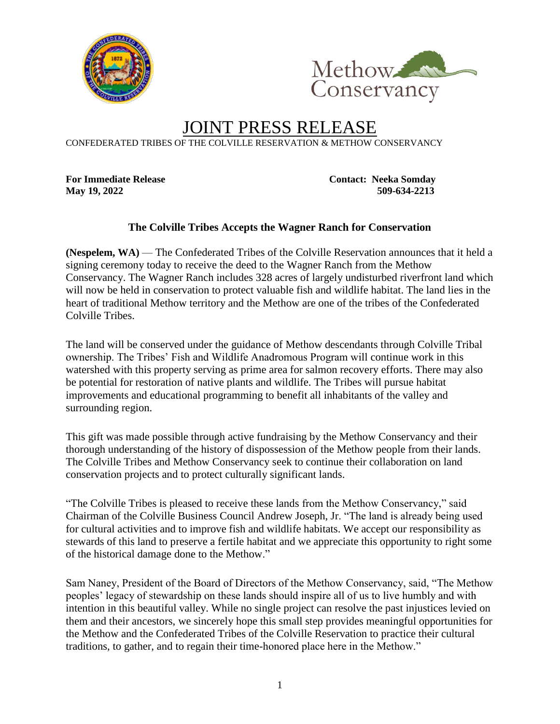



## JOINT PRESS RELEASE

CONFEDERATED TRIBES OF THE COLVILLE RESERVATION & METHOW CONSERVANCY

**For Immediate Release Contact: Neeka Somday May 19, 2022 509-634-2213**

## **The Colville Tribes Accepts the Wagner Ranch for Conservation**

**(Nespelem, WA)** — The Confederated Tribes of the Colville Reservation announces that it held a signing ceremony today to receive the deed to the Wagner Ranch from the Methow Conservancy. The Wagner Ranch includes 328 acres of largely undisturbed riverfront land which will now be held in conservation to protect valuable fish and wildlife habitat. The land lies in the heart of traditional Methow territory and the Methow are one of the tribes of the Confederated Colville Tribes.

The land will be conserved under the guidance of Methow descendants through Colville Tribal ownership. The Tribes' Fish and Wildlife Anadromous Program will continue work in this watershed with this property serving as prime area for salmon recovery efforts. There may also be potential for restoration of native plants and wildlife. The Tribes will pursue habitat improvements and educational programming to benefit all inhabitants of the valley and surrounding region.

This gift was made possible through active fundraising by the Methow Conservancy and their thorough understanding of the history of dispossession of the Methow people from their lands. The Colville Tribes and Methow Conservancy seek to continue their collaboration on land conservation projects and to protect culturally significant lands.

"The Colville Tribes is pleased to receive these lands from the Methow Conservancy," said Chairman of the Colville Business Council Andrew Joseph, Jr. "The land is already being used for cultural activities and to improve fish and wildlife habitats. We accept our responsibility as stewards of this land to preserve a fertile habitat and we appreciate this opportunity to right some of the historical damage done to the Methow."

Sam Naney, President of the Board of Directors of the Methow Conservancy, said, "The Methow peoples' legacy of stewardship on these lands should inspire all of us to live humbly and with intention in this beautiful valley. While no single project can resolve the past injustices levied on them and their ancestors, we sincerely hope this small step provides meaningful opportunities for the Methow and the Confederated Tribes of the Colville Reservation to practice their cultural traditions, to gather, and to regain their time-honored place here in the Methow."